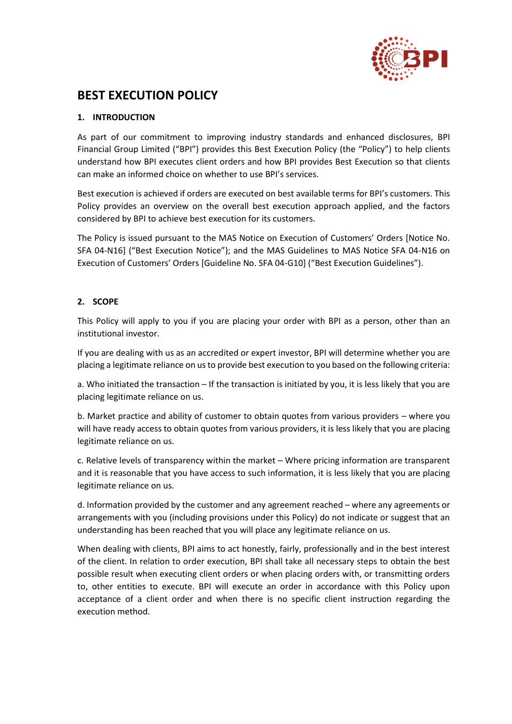

# **BEST EXECUTION POLICY**

# **1. INTRODUCTION**

As part of our commitment to improving industry standards and enhanced disclosures, BPI Financial Group Limited ("BPI") provides this Best Execution Policy (the "Policy") to help clients understand how BPI executes client orders and how BPI provides Best Execution so that clients can make an informed choice on whether to use BPI's services.

Best execution is achieved if orders are executed on best available terms for BPI's customers. This Policy provides an overview on the overall best execution approach applied, and the factors considered by BPI to achieve best execution for its customers.

The Policy is issued pursuant to the MAS Notice on Execution of Customers' Orders [Notice No. SFA 04-N16] ("Best Execution Notice"); and the MAS Guidelines to MAS Notice SFA 04-N16 on Execution of Customers' Orders [Guideline No. SFA 04-G10] ("Best Execution Guidelines").

# **2. SCOPE**

This Policy will apply to you if you are placing your order with BPI as a person, other than an institutional investor.

If you are dealing with us as an accredited or expert investor, BPI will determine whether you are placing a legitimate reliance on us to provide best execution to you based on the following criteria:

a. Who initiated the transaction – If the transaction is initiated by you, it is less likely that you are placing legitimate reliance on us.

b. Market practice and ability of customer to obtain quotes from various providers – where you will have ready access to obtain quotes from various providers, it is less likely that you are placing legitimate reliance on us.

c. Relative levels of transparency within the market – Where pricing information are transparent and it is reasonable that you have access to such information, it is less likely that you are placing legitimate reliance on us.

d. Information provided by the customer and any agreement reached – where any agreements or arrangements with you (including provisions under this Policy) do not indicate or suggest that an understanding has been reached that you will place any legitimate reliance on us.

When dealing with clients, BPI aims to act honestly, fairly, professionally and in the best interest of the client. In relation to order execution, BPI shall take all necessary steps to obtain the best possible result when executing client orders or when placing orders with, or transmitting orders to, other entities to execute. BPI will execute an order in accordance with this Policy upon acceptance of a client order and when there is no specific client instruction regarding the execution method.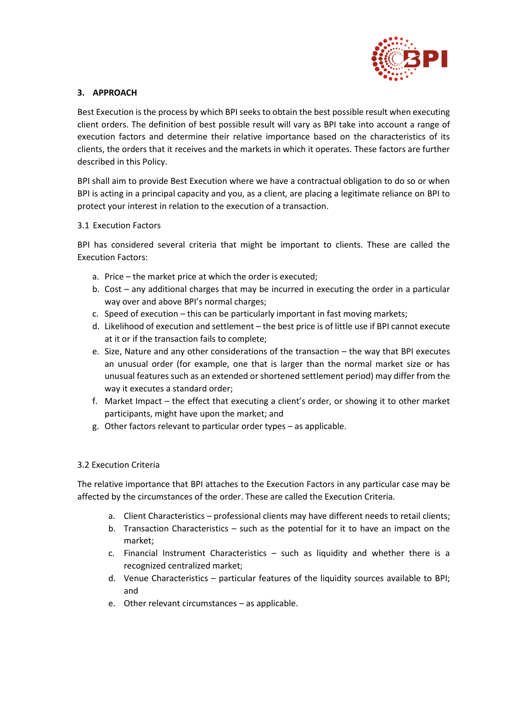

### **3. APPROACH**

Best Execution is the process by which BPI seeks to obtain the best possible result when executing client orders. The definition of best possible result will vary as BPI take into account a range of execution factors and determine their relative importance based on the characteristics of its clients, the orders that it receives and the markets in which it operates. These factors are further described in this Policy.

BPI shall aim to provide Best Execution where we have a contractual obligation to do so or when BPI is acting in a principal capacity and you, as a client, are placing a legitimate reliance on BPI to protect your interest in relation to the execution of a transaction.

#### 3.1 Execution Factors

BPI has considered several criteria that might be important to clients. These are called the Execution Factors:

- a. Price the market price at which the order is executed;
- b. Cost any additional charges that may be incurred in executing the order in a particular way over and above BPI's normal charges;
- c. Speed of execution this can be particularly important in fast moving markets;
- d. Likelihood of execution and settlement the best price is of little use if BPI cannot execute at it or if the transaction fails to complete;
- e. Size, Nature and any other considerations of the transaction the way that BPI executes an unusual order (for example, one that is larger than the normal market size or has unusual features such as an extended or shortened settlement period) may differ from the way it executes a standard order;
- f. Market Impact the effect that executing a client's order, or showing it to other market participants, might have upon the market; and
- g. Other factors relevant to particular order types as applicable.

#### 3.2 Execution Criteria

The relative importance that BPI attaches to the Execution Factors in any particular case may be affected by the circumstances of the order. These are called the Execution Criteria.

- a. Client Characteristics professional clients may have different needs to retail clients;
- b. Transaction Characteristics such as the potential for it to have an impact on the market;
- c. Financial Instrument Characteristics such as liquidity and whether there is a recognized centralized market;
- d. Venue Characteristics particular features of the liquidity sources available to BPI; and
- e. Other relevant circumstances as applicable.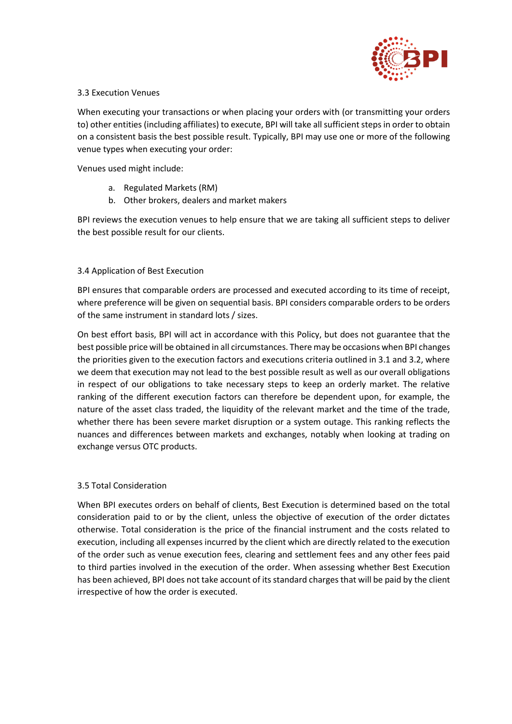

#### 3.3 Execution Venues

When executing your transactions or when placing your orders with (or transmitting your orders to) other entities (including affiliates) to execute, BPI will take all sufficient steps in order to obtain on a consistent basis the best possible result. Typically, BPI may use one or more of the following venue types when executing your order:

Venues used might include:

- a. Regulated Markets (RM)
- b. Other brokers, dealers and market makers

BPI reviews the execution venues to help ensure that we are taking all sufficient steps to deliver the best possible result for our clients.

#### 3.4 Application of Best Execution

BPI ensures that comparable orders are processed and executed according to its time of receipt, where preference will be given on sequential basis. BPI considers comparable orders to be orders of the same instrument in standard lots / sizes.

On best effort basis, BPI will act in accordance with this Policy, but does not guarantee that the best possible price will be obtained in all circumstances. There may be occasions when BPI changes the priorities given to the execution factors and executions criteria outlined in 3.1 and 3.2, where we deem that execution may not lead to the best possible result as well as our overall obligations in respect of our obligations to take necessary steps to keep an orderly market. The relative ranking of the different execution factors can therefore be dependent upon, for example, the nature of the asset class traded, the liquidity of the relevant market and the time of the trade, whether there has been severe market disruption or a system outage. This ranking reflects the nuances and differences between markets and exchanges, notably when looking at trading on exchange versus OTC products.

## 3.5 Total Consideration

When BPI executes orders on behalf of clients, Best Execution is determined based on the total consideration paid to or by the client, unless the objective of execution of the order dictates otherwise. Total consideration is the price of the financial instrument and the costs related to execution, including all expenses incurred by the client which are directly related to the execution of the order such as venue execution fees, clearing and settlement fees and any other fees paid to third parties involved in the execution of the order. When assessing whether Best Execution has been achieved, BPI does not take account of its standard charges that will be paid by the client irrespective of how the order is executed.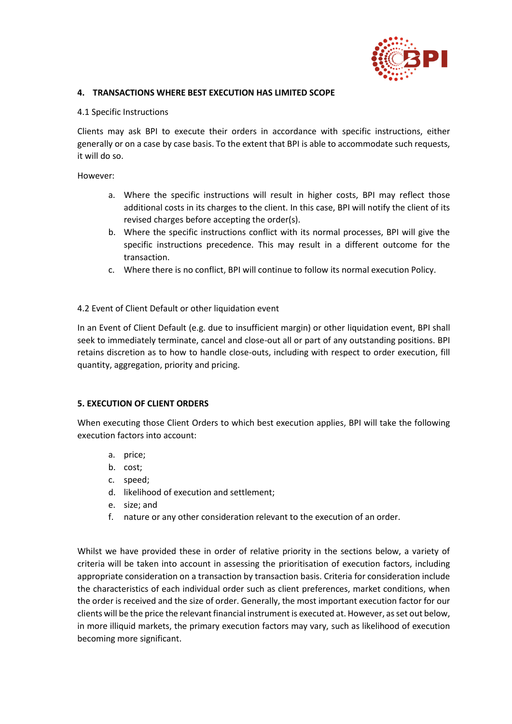

#### **4. TRANSACTIONS WHERE BEST EXECUTION HAS LIMITED SCOPE**

#### 4.1 Specific Instructions

Clients may ask BPI to execute their orders in accordance with specific instructions, either generally or on a case by case basis. To the extent that BPI is able to accommodate such requests, it will do so.

However:

- a. Where the specific instructions will result in higher costs, BPI may reflect those additional costs in its charges to the client. In this case, BPI will notify the client of its revised charges before accepting the order(s).
- b. Where the specific instructions conflict with its normal processes, BPI will give the specific instructions precedence. This may result in a different outcome for the transaction.
- c. Where there is no conflict, BPI will continue to follow its normal execution Policy.

#### 4.2 Event of Client Default or other liquidation event

In an Event of Client Default (e.g. due to insufficient margin) or other liquidation event, BPI shall seek to immediately terminate, cancel and close-out all or part of any outstanding positions. BPI retains discretion as to how to handle close-outs, including with respect to order execution, fill quantity, aggregation, priority and pricing.

#### **5. EXECUTION OF CLIENT ORDERS**

When executing those Client Orders to which best execution applies, BPI will take the following execution factors into account:

- a. price;
- b. cost;
- c. speed;
- d. likelihood of execution and settlement;
- e. size; and
- f. nature or any other consideration relevant to the execution of an order.

Whilst we have provided these in order of relative priority in the sections below, a variety of criteria will be taken into account in assessing the prioritisation of execution factors, including appropriate consideration on a transaction by transaction basis. Criteria for consideration include the characteristics of each individual order such as client preferences, market conditions, when the order is received and the size of order. Generally, the most important execution factor for our clients will be the price the relevant financial instrument is executed at. However, as set out below, in more illiquid markets, the primary execution factors may vary, such as likelihood of execution becoming more significant.